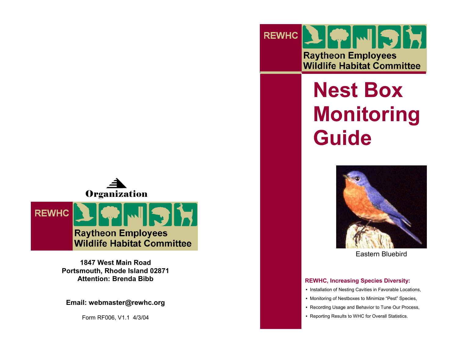

**1847 West Main Road Portsmouth, Rhode Island 02871 Attention: Brenda Bibb** 

**Email: webmaster@rewhc.org** 

Form RF006, V1.1 4/3/04

 $|\mathbf{F}|\mathbf{w}|\mathbf{S}|\mathbf{H}|$ **REWHC Raytheon Employees Wildlife Habitat Committee** 

# **Nest Box Monitoring Guide**



Eastern Bluebird

#### **REWHC, Increasing Species Diversity:**

- Installation of Nesting Cavities in Favorable Locations,
- Monitoring of Nestboxes to Minimize "Pest" Species,
- Recording Usage and Behavior to Tune Our Process,
- Reporting Results to WHC for Overall Statistics.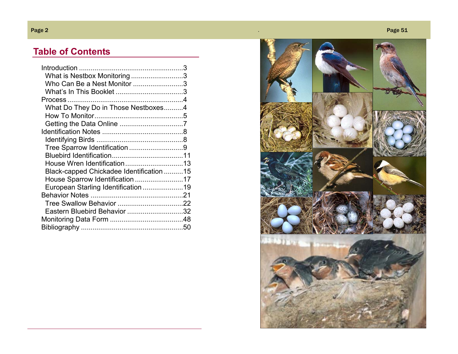## **Table of Contents**

| What is Nestbox Monitoring3              |  |
|------------------------------------------|--|
| Who Can Be a Nest Monitor 3              |  |
|                                          |  |
|                                          |  |
|                                          |  |
| What Do They Do in Those Nestboxes4      |  |
|                                          |  |
|                                          |  |
|                                          |  |
|                                          |  |
| Tree Sparrow Identification9             |  |
|                                          |  |
|                                          |  |
| Black-capped Chickadee Identification 15 |  |
| House Sparrow Identification17           |  |
| European Starling Identification 19      |  |
|                                          |  |
|                                          |  |
| Eastern Bluebird Behavior 32             |  |
|                                          |  |
|                                          |  |
|                                          |  |

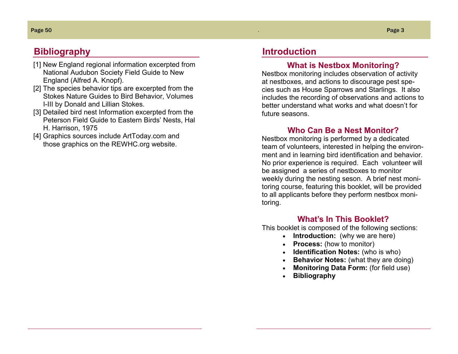#### Page 50

# **Bibliography**

- [1] New England regional information excerpted from National Audubon Society Field Guide to New England (Alfred A. Knopf).
- [2] The species behavior tips are excerpted from the Stokes Nature Guides to Bird Behavior, Volumes I-III by Donald and Lillian Stokes.
- [3] Detailed bird nest Information excerpted from the Peterson Field Guide to Eastern Birds' Nests, Hal H. Harrison, 1975
- [4] Graphics sources include ArtToday.com and those graphics on the REWHC.org website.

# **Introduction**

#### **What is Nestbox Monitoring?**

Nestbox monitoring includes observation of activity at nestboxes, and actions to discourage pest species such as House Sparrows and Starlings. It also includes the recording of observations and actions to better understand what works and what doesn't for future seasons.

#### **Who Can Be a Nest Monitor?**

Nestbox monitoring is performed by a dedicated team of volunteers, interested in helping the environment and in learning bird identification and behavior. No prior experience is required. Each volunteer will be assigned a series of nestboxes to monitor weekly during the nesting seson. A brief nest monitoring course, featuring this booklet, will be provided to all applicants before they perform nestbox monitoring.

#### **What's In This Booklet?**

This booklet is composed of the following sections:

- **Introduction:** (why we are here)
- **Process:** (how to monitor)
- **Identification Notes:** (who is who)
- **Behavior Notes:** (what they are doing)
- **Monitoring Data Form:** (for field use)
- **Bibliography**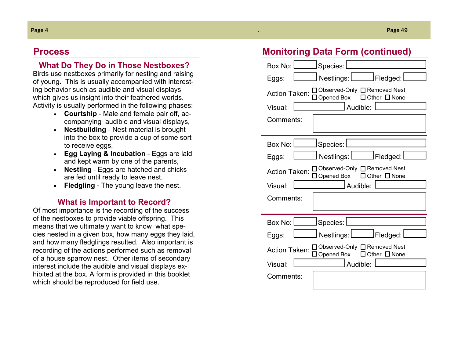## **Process**

## **What Do They Do in Those Nestboxes?**

Birds use nestboxes primarily for nesting and raising of young. This is usually accompanied with interesting behavior such as audible and visual displays which gives us insight into their feathered worlds. Activity is usually performed in the following phases:

- **Courtship** Male and female pair off, accompanying audible and visual displays,
- **Nestbuilding** Nest material is brought into the box to provide a cup of some sort to receive eggs,
- **Egg Laying & Incubation**  Eggs are laid and kept warm by one of the parents,
- **Nestling** Eggs are hatched and chicks are fed until ready to leave nest,
- **Fledgling** The young leave the nest.

## **What is Important to Record?**

Of most importance is the recording of the success of the nestboxes to provide viable offspring. This means that we ultimately want to know what species nested in a given box, how many eggs they laid, and how many fledglings resulted. Also important is recording of the actions performed such as removal of a house sparrow nest. Other items of secondary interest include the audible and visual displays exhibited at the box. A form is provided in this booklet which should be reproduced for field use.

# **Monitoring Data Form (continued)**

| Box No: I<br>Species:<br>Nestlings: Fledged:<br>Eggs:<br>Observed-Only □ Removed Nest<br>Action Taken:<br>$\Box$ Other $\Box$ None<br>J Opened Box<br>Audible:<br>Visual:<br>Comments:              |
|-----------------------------------------------------------------------------------------------------------------------------------------------------------------------------------------------------|
| Box No: L<br>Species:<br>Nestlings: Fledged:<br>Eggs:<br>Observed-Only □ Removed Nest<br><b>Action Taken:</b><br>$\Box$ Other $\Box$ None<br>$\sf J$ Opened Box<br>Audible:<br>Visual:<br>Comments: |
| Box No: l<br>Species:<br>Nestlings: Fledged:<br>Eggs:<br>Observed-Only □ Removed Nest<br>Action Taken:<br>$\Box$ Other $\Box$ None<br>Opened Box<br>Audible:<br>Visual:<br>Comments:                |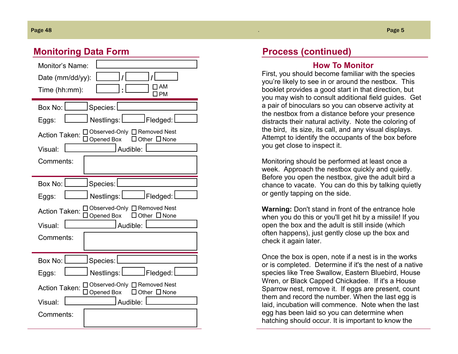# **Monitoring Data Form**

| Monitor's Name:                                                                                |
|------------------------------------------------------------------------------------------------|
| Date (mm/dd/yy):                                                                               |
| AM<br>Time (hh:mm):<br>PM                                                                      |
| Box No:<br>Species:                                                                            |
| Nestlings:<br>Fledged:<br>Eggs:                                                                |
| Observed-Only □ Removed Nest<br><b>Action Taken:</b><br>Other $\Box$ None<br>Opened Box        |
| Audible:<br>Visual:                                                                            |
| Comments:                                                                                      |
|                                                                                                |
| Box No:<br>Species:                                                                            |
| Nestlings:<br>Fledged:<br>Eggs:                                                                |
| Observed-Only □ Removed Nest<br>Action Taken:<br>$\Box$ Other $\Box$ None<br>Opened Box        |
| Audible:<br>Visual:                                                                            |
| Comments:                                                                                      |
|                                                                                                |
| Box No:<br>Species:                                                                            |
| Nestlings:<br>Fledged:<br>Eggs:                                                                |
| Observed-Only □ Removed Nest<br><b>Action Taken:</b><br>Opened Box<br>$\Box$ Other $\Box$ None |
| Audible:<br>Visual:                                                                            |
| Comments:                                                                                      |
|                                                                                                |

# **Process (continued)**

## **How To Monitor**

First, you should become familiar with the species you're likely to see in or around the nestbox. This booklet provides a good start in that direction, but you may wish to consult additional field guides. Get a pair of binoculars so you can observe activity at the nestbox from a distance before your presence distracts their natural activity. Note the coloring of the bird, its size, its call, and any visual displays. Attempt to identify the occupants of the box before you get close to inspect it.

Monitoring should be performed at least once a week. Approach the nestbox quickly and quietly. Before you open the nestbox, give the adult bird a chance to vacate. You can do this by talking quietly or gently tapping on the side.

**Warning:** Don't stand in front of the entrance hole when you do this or you'll get hit by a missile! If you open the box and the adult is still inside (which often happens), just gently close up the box and check it again later.

Once the box is open, note if a nest is in the works or is completed. Determine if it's the nest of a native species like Tree Swallow, Eastern Bluebird, House Wren, or Black Capped Chickadee. If it's a House Sparrow nest, remove it. If eggs are present, count them and record the number. When the last egg is laid, incubation will commence. Note when the last egg has been laid so you can determine when hatching should occur. It is important to know the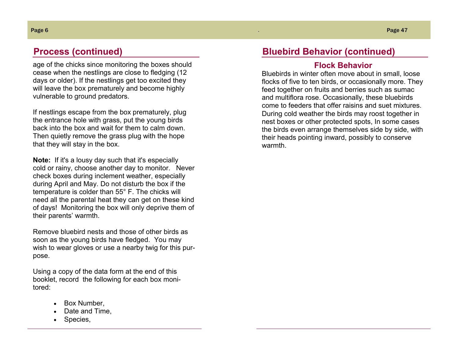#### *.* Page 47

# **Process (continued)**

age of the chicks since monitoring the boxes should cease when the nestlings are close to fledging (12 days or older). If the nestlings get too excited they will leave the box prematurely and become highly vulnerable to ground predators.

If nestlings escape from the box prematurely, plug the entrance hole with grass, put the young birds back into the box and wait for them to calm down. Then quietly remove the grass plug with the hope that they will stay in the box.

**Note:** If it's a lousy day such that it's especially cold or rainy, choose another day to monitor. Never check boxes during inclement weather, especially during April and May. Do not disturb the box if the temperature is colder than 55° F. The chicks will need all the parental heat they can get on these kind of days! Monitoring the box will only deprive them of their parents' warmth.

Remove bluebird nests and those of other birds as soon as the young birds have fledged. You may wish to wear gloves or use a nearby twig for this purpose.

Using a copy of the data form at the end of this booklet, record the following for each box monitored:

- Box Number.
- Date and Time,
- Species,

# **Bluebird Behavior (continued)**

## **Flock Behavior**

Bluebirds in winter often move about in small, loose flocks of five to ten birds, or occasionally more. They feed together on fruits and berries such as sumac and multiflora rose. Occasionally, these bluebirds come to feeders that offer raisins and suet mixtures. During cold weather the birds may roost together in nest boxes or other protected spots, In some cases the birds even arrange themselves side by side, with their heads pointing inward, possibly to conserve warmth.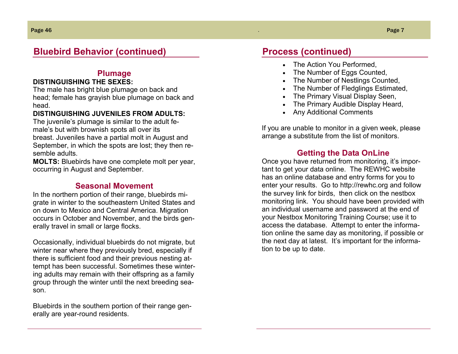#### **Plumage**

#### **DISTINGUISHING THE SEXES:**

The male has bright blue plumage on back and head; female has grayish blue plumage on back and head.

#### **DISTINGUISHING JUVENILES FROM ADULTS:**

The juvenile's plumage is similar to the adult female's but with brownish spots all over its breast. Juveniles have a partial molt in August and September, in which the spots are lost; they then resemble adults.

**MOLTS:** Bluebirds have one complete molt per year, occurring in August and September.

## **Seasonal Movement**

In the northern portion of their range, bluebirds migrate in winter to the southeastern United States and on down to Mexico and Central America. Migration occurs in October and November, and the birds generally travel in small or large flocks.

Occasionally, individual bluebirds do not migrate, but winter near where they previously bred, especially if there is sufficient food and their previous nesting attempt has been successful. Sometimes these wintering adults may remain with their offspring as a family group through the winter until the next breeding season.

Bluebirds in the southern portion of their range generally are year-round residents.

# **Process (continued)**

- The Action You Performed,
- The Number of Eggs Counted,
- The Number of Nestlings Counted,
- The Number of Fledglings Estimated,
- The Primary Visual Display Seen,
- The Primary Audible Display Heard,
- Any Additional Comments

If you are unable to monitor in a given week, please arrange a substitute from the list of monitors.

## **Getting the Data OnLine**

Once you have returned from monitoring, it's important to get your data online. The REWHC website has an online database and entry forms for you to enter your results. Go to http://rewhc.org and follow the survey link for birds, then click on the nestbox monitoring link. You should have been provided with an individual username and password at the end of your Nestbox Monitoring Training Course; use it to access the database. Attempt to enter the information online the same day as monitoring, if possible or the next day at latest. It's important for the information to be up to date.

Page 7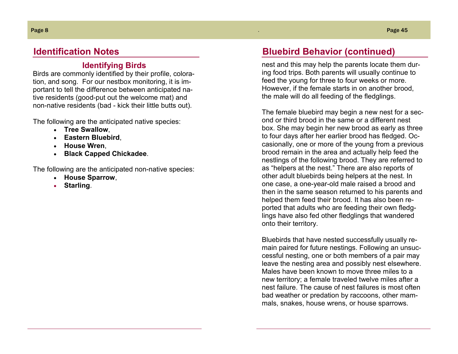#### *.* Page 45

## **Identification Notes**

## **Identifying Birds**

Birds are commonly identified by their profile, coloration, and song. For our nestbox monitoring, it is important to tell the difference between anticipated native residents (good-put out the welcome mat) and non-native residents (bad - kick their little butts out).

The following are the anticipated native species:

- **Tree Swallow**,
- **Eastern Bluebird**,
- **House Wren**,
- **Black Capped Chickadee**.

The following are the anticipated non-native species:

- **House Sparrow**,
- **Starling**.

# **Bluebird Behavior (continued)**

nest and this may help the parents locate them during food trips. Both parents will usually continue to feed the young for three to four weeks or more. However, if the female starts in on another brood, the male will do all feeding of the fledglings.

The female bluebird may begin a new nest for a second or third brood in the same or a different nest box. She may begin her new brood as early as three to four days after her earlier brood has fledged. Occasionally, one or more of the young from a previous brood remain in the area and actually help feed the nestlings of the following brood. They are referred to as "helpers at the nest." There are also reports of other adult bluebirds being helpers at the nest. In one case, a one-year-old male raised a brood and then in the same season returned to his parents and helped them feed their brood. It has also been reported that adults who are feeding their own fledglings have also fed other fledglings that wandered onto their territory.

Bluebirds that have nested successfully usually remain paired for future nestings. Following an unsuccessful nesting, one or both members of a pair may leave the nesting area and possibly nest elsewhere. Males have been known to move three miles to a new territory; a female traveled twelve miles after a nest failure. The cause of nest failures is most often bad weather or predation by raccoons, other mammals, snakes, house wrens, or house sparrows.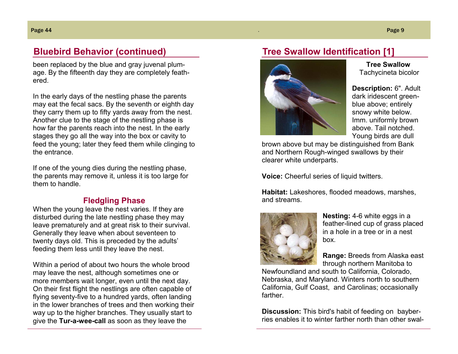been replaced by the blue and gray juvenal plumage. By the fifteenth day they are completely feathered.

In the early days of the nestling phase the parents may eat the fecal sacs. By the seventh or eighth day they carry them up to fifty yards away from the nest. Another clue to the stage of the nestling phase is how far the parents reach into the nest. In the early stages they go all the way into the box or cavity to feed the young; later they feed them while clinging to the entrance.

If one of the young dies during the nestling phase, the parents may remove it, unless it is too large for them to handle.

#### **Fledgling Phase**

When the young leave the nest varies. If they are disturbed during the late nestling phase they may leave prematurely and at great risk to their survival. Generally they leave when about seventeen to twenty days old. This is preceded by the adults' feeding them less until they leave the nest.

Within a period of about two hours the whole brood may leave the nest, although sometimes one or more members wait longer, even until the next day. On their first flight the nestlings are often capable of flying seventy-five to a hundred yards, often landing in the lower branches of trees and then working their way up to the higher branches. They usually start to give the **Tur-a-wee-call** as soon as they leave the

# **Tree Swallow Identification [1]**



**Tree Swallow** Tachycineta bicolor

**Description:** 6". Adult dark iridescent greenblue above; entirely snowy white below. Imm. uniformly brown above. Tail notched. Young birds are dull

brown above but may be distinguished from Bank and Northern Rough-winged swallows by their clearer white underparts.

**Voice:** Cheerful series of liquid twitters.

**Habitat:** Lakeshores, flooded meadows, marshes, and streams.



**Nesting:** 4-6 white eggs in a feather-lined cup of grass placed in a hole in a tree or in a nest box.

**Range:** Breeds from Alaska east through northern Manitoba to

Newfoundland and south to California, Colorado, Nebraska, and Maryland. Winters north to southern California, Gulf Coast, and Carolinas; occasionally farther.

**Discussion:** This bird's habit of feeding on bayberries enables it to winter farther north than other swal-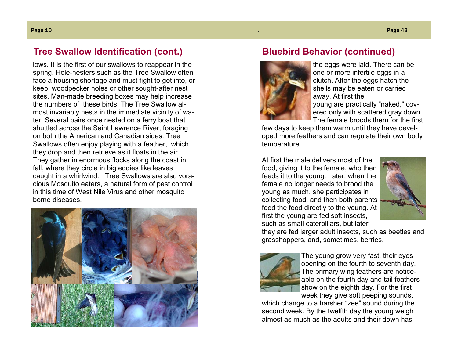# **Tree Swallow Identification (cont.)**

lows. It is the first of our swallows to reappear in the spring. Hole-nesters such as the Tree Swallow often face a housing shortage and must fight to get into, or keep, woodpecker holes or other sought-after nest sites. Man-made breeding boxes may help increase the numbers of these birds. The Tree Swallow almost invariably nests in the immediate vicinity of water. Several pairs once nested on a ferry boat that shuttled across the Saint Lawrence River, foraging on both the American and Canadian sides. Tree Swallows often enjoy playing with a feather, which they drop and then retrieve as it floats in the air. They gather in enormous flocks along the coast in fall, where they circle in big eddies like leaves caught in a whirlwind. Tree Swallows are also voracious Mosquito eaters, a natural form of pest control in this time of West Nile Virus and other mosquito borne diseases.



# **Bluebird Behavior (continued)**



the eggs were laid. There can be one or more infertile eggs in a clutch. After the eggs hatch the shells may be eaten or carried away. At first the young are practically "naked," covered only with scattered gray down. The female broods them for the first

few days to keep them warm until they have developed more feathers and can regulate their own body temperature.

At first the male delivers most of the food, giving it to the female, who then feeds it to the young. Later, when the female no longer needs to brood the young as much, she participates in collecting food, and then both parents feed the food directly to the young. At first the young are fed soft insects, such as small caterpillars, but later



they are fed larger adult insects, such as beetles and grasshoppers, and, sometimes, berries.



The young grow very fast, their eyes opening on the fourth to seventh day. The primary wing feathers are noticeable on the fourth day and tail feathers show on the eighth day. For the first week they give soft peeping sounds,

which change to a harsher "zee" sound during the second week. By the twelfth day the young weigh almost as much as the adults and their down has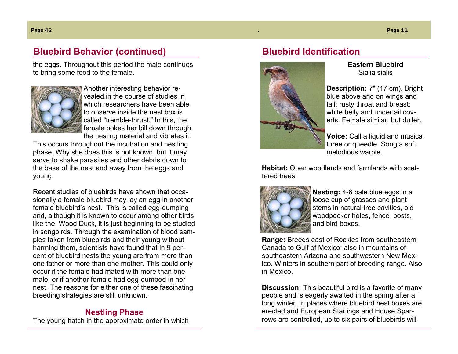the eggs. Throughout this period the male continues to bring some food to the female.



Another interesting behavior revealed in the course of studies in which researchers have been able to observe inside the nest box is called "tremble-thrust." In this, the female pokes her bill down through the nesting material and vibrates it.

This occurs throughout the incubation and nestling phase. Why she does this is not known, but it may serve to shake parasites and other debris down to the base of the nest and away from the eggs and young.

Recent studies of bluebirds have shown that occasionally a female bluebird may lay an egg in another female bluebird's nest. This is called egg-dumping and, although it is known to occur among other birds like the Wood Duck, it is just beginning to be studied in songbirds. Through the examination of blood samples taken from bluebirds and their young without harming them, scientists have found that in 9 percent of bluebird nests the young are from more than one father or more than one mother. This could only occur if the female had mated with more than one male, or if another female had egg-dumped in her nest. The reasons for either one of these fascinating breeding strategies are still unknown.

## **Nestling Phase**

The young hatch in the approximate order in which

# **Bluebird Identification**



#### **Eastern Bluebird** Sialia sialis

**Description:** 7" (17 cm). Bright blue above and on wings and tail; rusty throat and breast; white belly and undertail coverts. Female similar, but duller.

**Voice:** Call a liquid and musical turee or queedle. Song a soft melodious warble.

**Habitat:** Open woodlands and farmlands with scattered trees.



**Nesting:** 4-6 pale blue eggs in a loose cup of grasses and plant stems in natural tree cavities, old woodpecker holes, fence posts, and bird boxes.

**Range:** Breeds east of Rockies from southeastern Canada to Gulf of Mexico; also in mountains of southeastern Arizona and southwestern New Mexico. Winters in southern part of breeding range. Also in Mexico.

**Discussion:** This beautiful bird is a favorite of many people and is eagerly awaited in the spring after a long winter. In places where bluebird nest boxes are erected and European Starlings and House Sparrows are controlled, up to six pairs of bluebirds will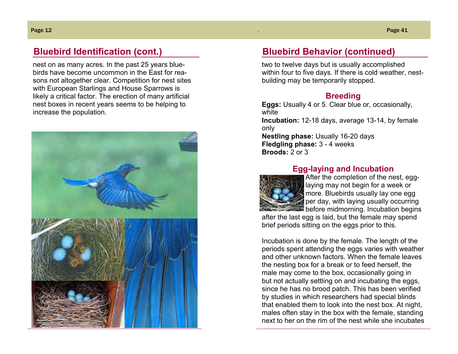# **Bluebird Identification (cont.)**

nest on as many acres. In the past 25 years bluebirds have become uncommon in the East for reasons not altogether clear. Competition for nest sites with European Starlings and House Sparrows is likely a critical factor. The erection of many artificial nest boxes in recent years seems to be helping to increase the population.



# **Bluebird Behavior (continued)**

two to twelve days but is usually accomplished within four to five days. If there is cold weather, nestbuilding may be temporarily stopped.

## **Breeding**

**Eggs:** Usually 4 or 5. Clear blue or, occasionally, white

**Incubation:** 12-18 days, average 13-14, by female only

**Nestling phase:** Usually 16-20 days **Fledgling phase:** 3 - 4 weeks **Broods:** 2 or 3

## **Egg-laying and Incubation**



After the completion of the nest, egglaying may not begin for a week or more. Bluebirds usually lay one egg per day, with laying usually occurring **E** before midmorning. Incubation begins

after the last egg is laid, but the female may spend brief periods sitting on the eggs prior to this.

Incubation is done by the female. The length of the periods spent attending the eggs varies with weather and other unknown factors. When the female leaves the nesting box for a break or to feed herself, the male may come to the box, occasionally going in but not actually settling on and incubating the eggs, since he has no brood patch. This has been verified by studies in which researchers had special blinds that enabled them to look into the nest box. At night, males often stay in the box with the female, standing next to her on the rim of the nest while she incubates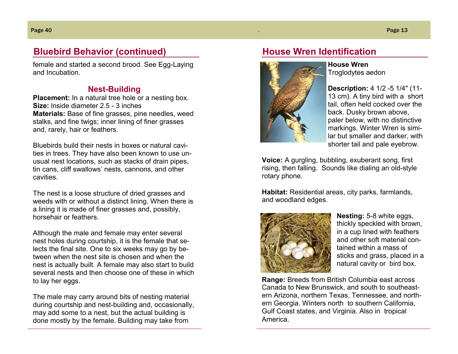female and started a second brood. See Egg-Laying and Incubation.

## **Nest-Building**

**Placement:** In a natural tree hole or a nesting box. **Size:** lnside diameter 2.5 - 3 inches **Materials:** Base of fine grasses, pine needles, weed stalks, and fine twigs; inner lining of finer grasses and, rarely, hair or feathers.

Bluebirds build their nests in boxes or natural cavities in trees. They have also been known to use unusual nest locations, such as stacks of drain pipes, tin cans, cliff swallows' nests, cannons, and other cavities.

The nest is a loose structure of dried grasses and weeds with or without a distinct lining. When there is a lining it is made of finer grasses and, possibly, horsehair or feathers.

Although the male and female may enter several nest holes during courtship, it is the female that selects the final site. One to six weeks may go by between when the nest site is chosen and when the nest is actually built. A female may also start to build several nests and then choose one of these in which to lay her eggs.

The male may carry around bits of nesting material during courtship and nest-building and, occasionally, may add some to a nest, but the actual building is done mostly by the female. Building may take from

# **House Wren Identification**



**House Wren** Troglodytes aedon

**Description:** 4 1/2 -5 1/4" (11- 13 cm). A tiny bird with a short tail, often held cocked over the back. Dusky brown above, paler below, with no distinctive markings. Winter Wren is similar but smaller and darker, with shorter tail and pale eyebrow.

**Voice:** A gurgling, bubbling, exuberant song, first rising, then falling. Sounds like dialing an old-style rotary phone.

**Habitat:** Residential areas, city parks, farmlands, and woodland edges.



**Nesting:** 5-8 white eggs, thickly speckled with brown, in a cup lined with feathers and other soft material contained within a mass of sticks and grass, placed in a natural cavity or bird box.

**Range:** Breeds from British Columbia east across Canada to New Brunswick, and south to southeastern Arizona, northern Texas, Tennessee, and northern Georgia. Winters north to southern California, Gulf Coast states, and Virginia. Also in tropical America.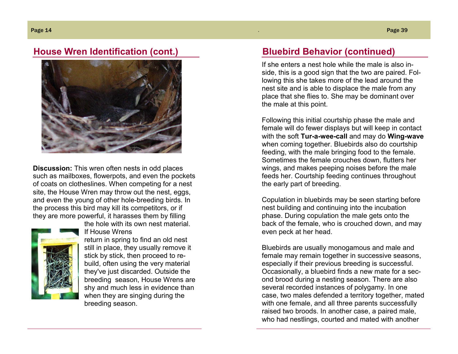# **House Wren Identification (cont.)**



**Discussion:** This wren often nests in odd places such as mailboxes, flowerpots, and even the pockets of coats on clotheslines. When competing for a nest site, the House Wren may throw out the nest, eggs, and even the young of other hole-breeding birds. In the process this bird may kill its competitors, or if they are more powerful, it harasses them by filling



the hole with its own nest material. If House Wrens return in spring to find an old nest still in place, they usually remove it stick by stick, then proceed to rebuild, often using the very material they've just discarded. Outside the breeding season, House Wrens are shy and much less in evidence than when they are singing during the breeding season.

# **Bluebird Behavior (continued)**

If she enters a nest hole while the male is also inside, this is a good sign that the two are paired. Following this she takes more of the lead around the nest site and is able to displace the male from any place that she flies to. She may be dominant over the male at this point.

Following this initial courtship phase the male and female will do fewer displays but will keep in contact with the soft **Tur-a-wee-call** and may do **Wing-wave**  when coming together. Bluebirds also do courtship feeding, with the male bringing food to the female. Sometimes the female crouches down, flutters her wings, and makes peeping noises before the male feeds her. Courtship feeding continues throughout the early part of breeding.

Copulation in bluebirds may be seen starting before nest building and continuing into the incubation phase. During copulation the male gets onto the back of the female, who is crouched down, and may even peck at her head.

Bluebirds are usually monogamous and male and female may remain together in successive seasons, especially if their previous breeding is successful. Occasionally, a bluebird finds a new mate for a second brood during a nesting season. There are also several recorded instances of polygamy. In one case, two males defended a territory together, mated with one female, and all three parents successfully raised two broods. In another case, a paired male, who had nestlings, courted and mated with another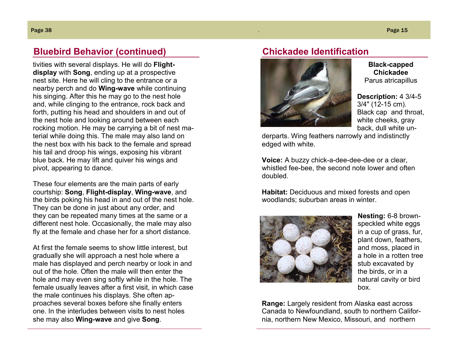tivities with several displays. He will do **Flightdisplay** with **Song**, ending up at a prospective nest site. Here he will cling to the entrance or a nearby perch and do **Wing-wave** while continuing his singing. After this he may go to the nest hole and, while clinging to the entrance, rock back and forth, putting his head and shoulders in and out of the nest hole and looking around between each rocking motion. He may be carrying a bit of nest material while doing this. The male may also land on the nest box with his back to the female and spread his tail and droop his wings, exposing his vibrant blue back. He may lift and quiver his wings and pivot, appearing to dance.

These four elements are the main parts of early courtship: **Song**, **Flight-display**, **Wing-wave**, and the birds poking his head in and out of the nest hole. They can be done in just about any order, and they can be repeated many times at the same or a different nest hole. Occasionally, the male may also fly at the female and chase her for a short distance.

At first the female seems to show little interest, but gradually she will approach a nest hole where a male has displayed and perch nearby or look in and out of the hole. Often the male will then enter the hole and may even sing softly while in the hole. The female usually leaves after a first visit, in which case the male continues his displays. She often approaches several boxes before she finally enters one. In the interludes between visits to nest holes she may also **Wing-wave** and give **Song**.

# **Chickadee Identification**



**Black-capped Chickadee** Parus atricapillus

**Description:** 4 3/4-5 3/4" (12-15 cm). Black cap and throat, white cheeks, gray back, dull white un-

derparts. Wing feathers narrowly and indistinctly edged with white.

**Voice:** A buzzy chick-a-dee-dee-dee or a clear, whistled fee-bee, the second note lower and often doubled.

**Habitat:** Deciduous and mixed forests and open woodlands; suburban areas in winter.



**Nesting:** 6-8 brownspeckled white eggs in a cup of grass, fur, plant down, feathers, and moss, placed in a hole in a rotten tree stub excavated by the birds, or in a natural cavity or bird box.

**Range:** Largely resident from Alaska east across Canada to Newfoundland, south to northern California, northern New Mexico, Missouri, and northern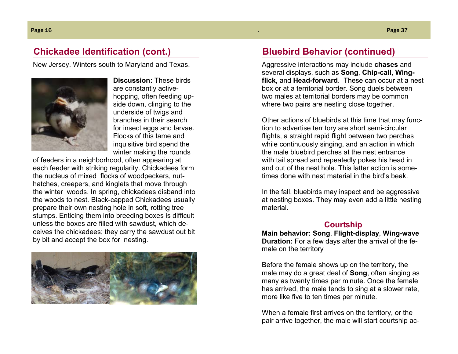# **Chickadee Identification (cont.)**

New Jersey. Winters south to Maryland and Texas.



**Discussion:** These birds are constantly activehopping, often feeding upside down, clinging to the underside of twigs and branches in their search for insect eggs and larvae. Flocks of this tame and inquisitive bird spend the winter making the rounds

of feeders in a neighborhood, often appearing at each feeder with striking regularity. Chickadees form the nucleus of mixed flocks of woodpeckers, nuthatches, creepers, and kinglets that move through the winter woods. In spring, chickadees disband into the woods to nest. Black-capped Chickadees usually prepare their own nesting hole in soft, rotting tree stumps. Enticing them into breeding boxes is difficult unless the boxes are filled with sawdust, which deceives the chickadees; they carry the sawdust out bit by bit and accept the box for nesting.



# **Bluebird Behavior (continued)**

Aggressive interactions may include **chases** and several displays, such as **Song**, **Chip-call**, **Wingflick**, and **Head-forward**. These can occur at a nest box or at a territorial border. Song duels between two males at territorial borders may be common where two pairs are nesting close together.

Other actions of bluebirds at this time that may function to advertise territory are short semi-circular flights, a straight rapid flight between two perches while continuously singing, and an action in which the male bluebird perches at the nest entrance with tail spread and repeatedly pokes his head in and out of the nest hole. This latter action is sometimes done with nest material in the bird's beak.

In the fall, bluebirds may inspect and be aggressive at nesting boxes. They may even add a little nesting material.

## **Courtship**

**Main behavior: Song**, **Flight-display**, **Wing-wave Duration:** For a few days after the arrival of the female on the territory

Before the female shows up on the territory, the male may do a great deal of **Song**, often singing as many as twenty times per minute. Once the female has arrived, the male tends to sing at a slower rate, more like five to ten times per minute.

When a female first arrives on the territory, or the pair arrive together, the male will start courtship ac-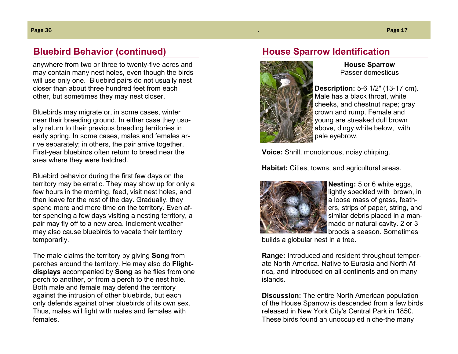anywhere from two or three to twenty-five acres and may contain many nest holes, even though the birds will use only one. Bluebird pairs do not usually nest closer than about three hundred feet from each other, but sometimes they may nest closer.

Bluebirds may migrate or, in some cases, winter near their breeding ground. In either case they usually return to their previous breeding territories in early spring. In some cases, males and females arrive separately; in others, the pair arrive together. First-year bluebirds often return to breed near the area where they were hatched.

Bluebird behavior during the first few days on the territory may be erratic. They may show up for only a few hours in the morning, feed, visit nest holes, and then leave for the rest of the day. Gradually, they spend more and more time on the territory. Even after spending a few days visiting a nesting territory, a pair may fly off to a new area. Inclement weather may also cause bluebirds to vacate their territory temporarily.

The male claims the territory by giving **Song** from perches around the territory. He may also do **Flightdisplays** accompanied by **Song** as he flies from one perch to another, or from a perch to the nest hole. Both male and female may defend the territory against the intrusion of other bluebirds, but each only defends against other bluebirds of its own sex. Thus, males will fight with males and females with females.

# **House Sparrow Identification**



**House Sparrow**  Passer domesticus

**Description:** 5-6 1/2" (13-17 cm). Male has a black throat, white cheeks, and chestnut nape; gray crown and rump. Female and young are streaked dull brown above, dingy white below, with pale eyebrow.

**Voice:** Shrill, monotonous, noisy chirping.

**Habitat:** Cities, towns, and agricultural areas.



**Nesting:** 5 or 6 white eggs, lightly speckled with brown, in a loose mass of grass, feathers, strips of paper, string, and similar debris placed in a manmade or natural cavity. 2 or 3 broods a season. Sometimes

builds a globular nest in a tree.

**Range:** Introduced and resident throughout temperate North America. Native to Eurasia and North Africa, and introduced on all continents and on many islands.

**Discussion:** The entire North American population of the House Sparrow is descended from a few birds released in New York City's Central Park in 1850. These birds found an unoccupied niche-the many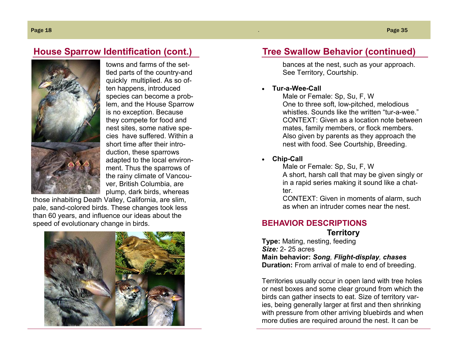# **House Sparrow Identification (cont.)**



towns and farms of the settled parts of the country-and quickly multiplied. As so often happens, introduced species can become a problem, and the House Sparrow is no exception. Because they compete for food and nest sites, some native species have suffered. Within a short time after their introduction, these sparrows adapted to the local environment. Thus the sparrows of the rainy climate of Vancouver, British Columbia, are plump, dark birds, whereas

those inhabiting Death Valley, California, are slim, pale, sand-colored birds. These changes took less than 60 years, and influence our ideas about the speed of evolutionary change in birds.



## **Tree Swallow Behavior (continued)**

bances at the nest, such as your approach. See Territory, Courtship.

#### • **Tur-a-Wee-Call**

Male or Female: Sp, Su, F, W One to three soft, low-pitched, melodious whistles. Sounds like the written "tur-a-wee." CONTEXT: Given as a location note between mates, family members, or flock members. Also given by parents as they approach the nest with food. See Courtship, Breeding.

#### • **Chip-Call**

Male or Female: Sp, Su, F, W A short, harsh call that may be given singly or in a rapid series making it sound like a chatter.

CONTEXT: Given in moments of alarm, such as when an intruder comes near the nest.

#### **BEHAVIOR DESCRIPTIONS Territory**

**Type:** Mating, nesting, feeding *Size:* 2- 25 acres**Main behavior:** *Song, Flight-display, chases* **Duration:** From arrival of male to end of breeding.

Territories usually occur in open land with tree holes or nest boxes and some clear ground from which the birds can gather insects to eat. Size of territory varies, being generally larger at first and then shrinking with pressure from other arriving bluebirds and when more duties are required around the nest. It can be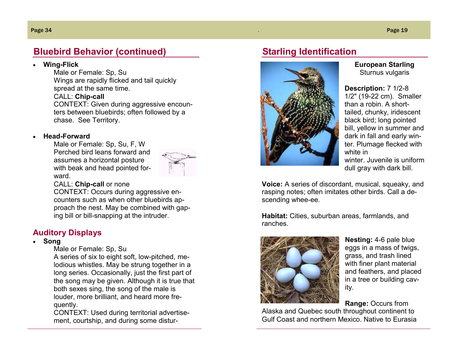#### • **Wing-Flick**

Male or Female: Sp, Su Wings are rapidly flicked and tail quickly spread at the same time. CALL: **Chip-call**

CONTEXT: Given during aggressive encounters between bluebirds; often followed by a chase. See Territory.

#### • **Head-Forward**

Male or Female: Sp, Su, F, W Perched bird leans forward and assumes a horizontal posture with beak and head pointed forward.



CALL: **Chip-call** or none CONTEXT: Occurs during aggressive encounters such as when other bluebirds approach the nest. May be combined with gaping bill or bill-snapping at the intruder.

# **Auditory Displays**

- **Song** 
	- Male or Female: Sp, Su

A series of six to eight soft, low-pitched, melodious whistles. May be strung together in a long series. Occasionally, just the first part of the song may be given. Although it is true that both sexes sing, the song of the male is louder, more brilliant, and heard more frequently.

CONTEXT: Used during territorial advertisement, courtship, and during some distur-

# **Starling Identification**



**European Starling**  Sturnus vulgaris

**Description:** 7 1/2-8 1/2" (19-22 cm). Smaller than a robin. A shorttailed, chunky, iridescent black bird; long pointed bill, yellow in summer and dark in fall and early winter. Plumage flecked with white in winter. Juvenile is uniform

dull gray with dark bill.

**Voice:** A series of discordant, musical, squeaky, and rasping notes; often imitates other birds. Call a descending whee-ee.

**Habitat:** Cities, suburban areas, farmlands, and ranches.



**Nesting:** 4-6 pale blue eggs in a mass of twigs, grass, and trash lined with finer plant material and feathers, and placed in a tree or building cavity.

**Range:** Occurs from

Alaska and Quebec south throughout continent to Gulf Coast and northern Mexico. Native to Eurasia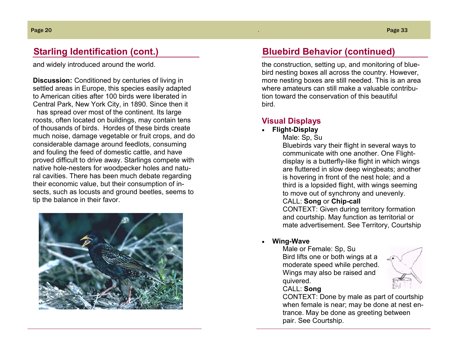# **Starling Identification (cont.)**

and widely introduced around the world.

**Discussion:** Conditioned by centuries of living in settled areas in Europe, this species easily adapted to American cities after 100 birds were liberated in Central Park, New York City, in 1890. Since then it has spread over most of the continent. Its large roosts, often located on buildings, may contain tens of thousands of birds. Hordes of these birds create much noise, damage vegetable or fruit crops, and do considerable damage around feedlots, consuming and fouling the feed of domestic cattle, and have proved difficult to drive away. Starlings compete with native hole-nesters for woodpecker holes and natural cavities. There has been much debate regarding their economic value, but their consumption of insects, such as locusts and ground beetles, seems to tip the balance in their favor.

# **Bluebird Behavior (continued)**

the construction, setting up, and monitoring of bluebird nesting boxes all across the country. However, more nesting boxes are still needed. This is an area where amateurs can still make a valuable contribution toward the conservation of this beautiful bird.

## **Visual Displays**

## • **Flight-Display**

Male: Sp, Su

Bluebirds vary their flight in several ways to communicate with one another. One Flightdisplay is a butterfly-like flight in which wings are fluttered in slow deep wingbeats; another is hovering in front of the nest hole; and a third is a lopsided flight, with wings seeming to move out of synchrony and unevenly. CALL: **Song** or **Chip-call**

CONTEXT: Given during territory formation and courtship. May function as territorial or mate advertisement. See Territory, Courtship

#### • **Wing-Wave**

Male or Female: Sp, Su Bird lifts one or both wings at a moderate speed while perched. Wings may also be raised and quivered.



#### CALL: **Song**

CONTEXT: Done by male as part of courtship when female is near; may be done at nest entrance. May be done as greeting between pair. See Courtship.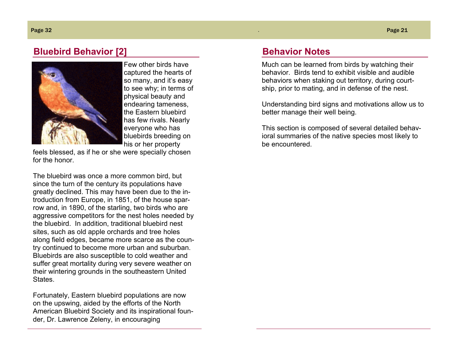#### *.* Page 21

# **Bluebird Behavior [2]**



Few other birds have captured the hearts of so many, and it's easy to see why; in terms of physical beauty and endearing tameness, the Eastern bluebird has few rivals. Nearly everyone who has bluebirds breeding on his or her property

feels blessed, as if he or she were specially chosen for the honor.

The bluebird was once a more common bird, but since the turn of the century its populations have greatly declined. This may have been due to the introduction from Europe, in 1851, of the house sparrow and, in 1890, of the starling, two birds who are aggressive competitors for the nest holes needed by the bluebird. In addition, traditional bluebird nest sites, such as old apple orchards and tree holes along field edges, became more scarce as the country continued to become more urban and suburban. Bluebirds are also susceptible to cold weather and suffer great mortality during very severe weather on their wintering grounds in the southeastern United States.

Fortunately, Eastern bluebird populations are now on the upswing, aided by the efforts of the North American Bluebird Society and its inspirational founder, Dr. Lawrence Zeleny, in encouraging

# **Behavior Notes**

Much can be learned from birds by watching their behavior. Birds tend to exhibit visible and audible behaviors when staking out territory, during courtship, prior to mating, and in defense of the nest.

Understanding bird signs and motivations allow us to better manage their well being.

This section is composed of several detailed behavioral summaries of the native species most likely to be encountered.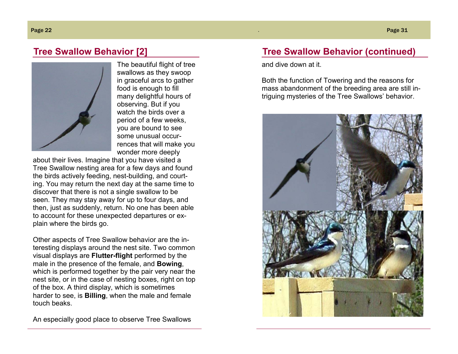*.* Page 31

# **Tree Swallow Behavior [2]**



The beautiful flight of tree swallows as they swoop in graceful arcs to gather food is enough to fill many delightful hours of observing. But if you watch the birds over a period of a few weeks, you are bound to see some unusual occurrences that will make you wonder more deeply

about their lives. Imagine that you have visited a Tree Swallow nesting area for a few days and found the birds actively feeding, nest-building, and courting. You may return the next day at the same time to discover that there is not a single swallow to be seen. They may stay away for up to four days, and then, just as suddenly, return. No one has been able to account for these unexpected departures or explain where the birds go.

Other aspects of Tree Swallow behavior are the interesting displays around the nest site. Two common visual displays are **Flutter-flight** performed by the male in the presence of the female, and **Bowing**, which is performed together by the pair very near the nest site, or in the case of nesting boxes, right on top of the box. A third display, which is sometimes harder to see, is **Billing**, when the male and female touch beaks.

An especially good place to observe Tree Swallows

# **Tree Swallow Behavior (continued)**

and dive down at it.

Both the function of Towering and the reasons for mass abandonment of the breeding area are still intriguing mysteries of the Tree Swallows' behavior.

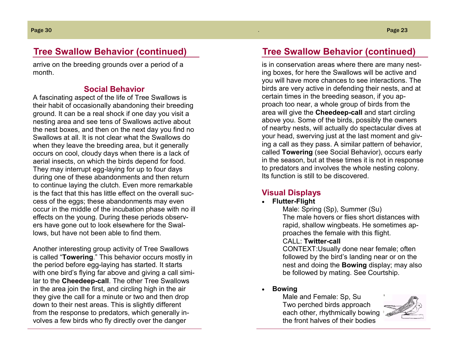arrive on the breeding grounds over a period of a month.

## **Social Behavior**

A fascinating aspect of the life of Tree Swallows is their habit of occasionally abandoning their breeding ground. It can be a real shock if one day you visit a nesting area and see tens of Swallows active about the nest boxes, and then on the next day you find no Swallows at all. It is not clear what the Swallows do when they leave the breeding area, but it generally occurs on cool, cloudy days when there is a lack of aerial insects, on which the birds depend for food. They may interrupt egg-laying for up to four days during one of these abandonments and then return to continue laying the clutch. Even more remarkable is the fact that this has little effect on the overall success of the eggs; these abandonments may even occur in the middle of the incubation phase with no ill effects on the young. During these periods observers have gone out to look elsewhere for the Swallows, but have not been able to find them.

Another interesting group activity of Tree Swallows is called "**Towering**." This behavior occurs mostly in the period before egg-laying has started. It starts with one bird's flying far above and giving a call similar to the **Cheedeep-call**. The other Tree Swallows in the area join the first, and circling high in the air they give the call for a minute or two and then drop down to their nest areas. This is slightly different from the response to predators, which generally involves a few birds who fly directly over the danger

# **Tree Swallow Behavior (continued)**

is in conservation areas where there are many nesting boxes, for here the Swallows will be active and you will have more chances to see interactions. The birds are very active in defending their nests, and at certain times in the breeding season, if you approach too near, a whole group of birds from the area will give the **Cheedeep-call** and start circling above you. Some of the birds, possibly the owners of nearby nests, will actually do spectacular dives at your head, swerving just at the last moment and giving a call as they pass. A similar pattern of behavior, called **Towering** (see Social Behavior), occurs early in the season, but at these times it is not in response to predators and involves the whole nesting colony. Its function is still to be discovered.

## **Visual Displays**

#### • **Flutter-Flight**

Male: Spring (Sp), Summer (Su) The male hovers or flies short distances with rapid, shallow wingbeats. He sometimes approaches the female with this flight.

#### CALL: **Twitter-call**

CONTEXT:Usually done near female; often followed by the bird's landing near or on the nest and doing the **Bowing** display; may also be followed by mating. See Courtship.

• **Bowing** 

Male and Female: Sp, Su Two perched birds approach each other, rhythmically bowing the front halves of their bodies

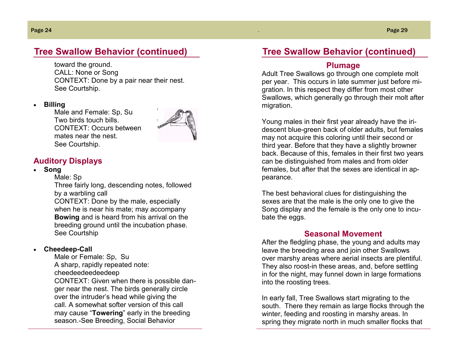toward the ground. CALL: None or Song CONTEXT: Done by a pair near their nest. See Courtship.

#### • **Billing**

Male and Female: Sp, Su Two birds touch bills. CONTEXT: Occurs between mates near the nest. See Courtship.



## **Auditory Displays**

#### • **Song**

Male: Sp

Three fairly long, descending notes, followed by a warbling call CONTEXT: Done by the male, especially when he is near his mate; may accompany **Bowing** and is heard from his arrival on the breeding ground until the incubation phase. See Courtship

#### • **Cheedeep-Call**

Male or Female: Sp, Su A sharp, rapidly repeated note: cheedeedeedeedeep CONTEXT: Given when there is possible danger near the nest. The birds generally circle over the intruder's head while giving the call. A somewhat softer version of this call may cause "**Towering**" early in the breeding season.-See Breeding, Social Behavior

## **Tree Swallow Behavior (continued)**

#### **Plumage**

Adult Tree Swallows go through one complete molt per year. This occurs in late summer just before migration. In this respect they differ from most other Swallows, which generally go through their molt after migration.

Young males in their first year already have the iridescent blue-green back of older adults, but females may not acquire this coloring until their second or third year. Before that they have a slightly browner back. Because of this, females in their first two years can be distinguished from males and from older females, but after that the sexes are identical in appearance.

The best behavioral clues for distinguishing the sexes are that the male is the only one to give the Song display and the female is the only one to incubate the eggs.

#### **Seasonal Movement**

After the fledgling phase, the young and adults may leave the breeding area and join other Swallows over marshy areas where aerial insects are plentiful. They also roost-in these areas, and, before settling in for the night, may funnel down in large formations into the roosting trees.

In early fall, Tree Swallows start migrating to the south. There they remain as large flocks through the winter, feeding and roosting in marshy areas. In spring they migrate north in much smaller flocks that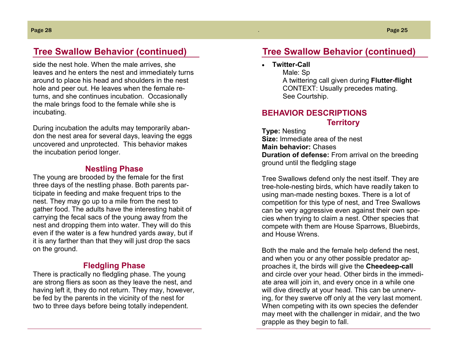side the nest hole. When the male arrives, she leaves and he enters the nest and immediately turns around to place his head and shoulders in the nest hole and peer out. He leaves when the female returns, and she continues incubation. Occasionally the male brings food to the female while she is incubating.

During incubation the adults may temporarily abandon the nest area for several days, leaving the eggs uncovered and unprotected. This behavior makes the incubation period longer.

## **Nestling Phase**

The young are brooded by the female for the first three days of the nestling phase. Both parents participate in feeding and make frequent trips to the nest. They may go up to a mile from the nest to gather food. The adults have the interesting habit of carrying the fecal sacs of the young away from the nest and dropping them into water. They will do this even if the water is a few hundred yards away, but if it is any farther than that they will just drop the sacs on the ground.

## **Fledgling Phase**

There is practically no fledgling phase. The young are strong fliers as soon as they leave the nest, and having left it, they do not return. They may, however, be fed by the parents in the vicinity of the nest for two to three days before being totally independent.

# **Tree Swallow Behavior (continued)**

#### • **Twitter-Call**

Male: Sp A twittering call given during **Flutter-flight** CONTEXT: Usually precedes mating. See Courtship.

## **BEHAVIOR DESCRIPTIONS Territory**

**Type:** Nesting **Size:** lmmediate area of the nest**Main behavior:** Chases**Duration of defense:** From arrival on the breeding ground until the fledgling stage

Tree Swallows defend only the nest itself. They are tree-hole-nesting birds, which have readily taken to using man-made nesting boxes. There is a lot of competition for this type of nest, and Tree Swallows can be very aggressive even against their own species when trying to claim a nest. Other species that compete with them are House Sparrows, Bluebirds, and House Wrens.

Both the male and the female help defend the nest, and when you or any other possible predator approaches it, the birds will give the **Cheedeep-call**  and circle over your head. Other birds in the immediate area will join in, and every once in a while one will dive directly at your head. This can be unnerving, for they swerve off only at the very last moment. When competing with its own species the defender may meet with the challenger in midair, and the two grapple as they begin to fall.